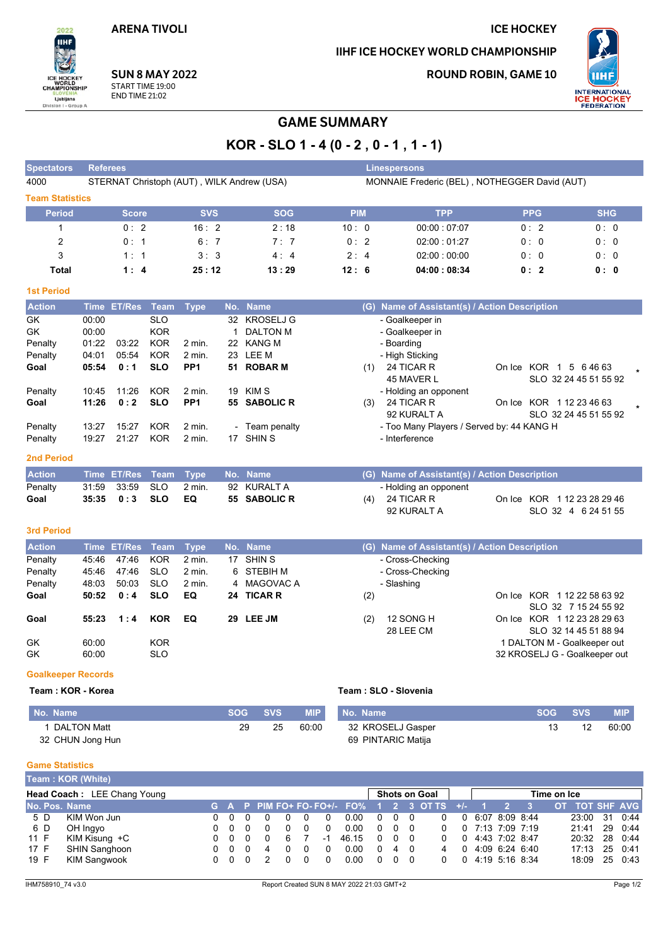**ARENA TIVOLI** 

## **IIHF ICE HOCKEY WORLD CHAMPIONSHIP**

**ROUND ROBIN, GAME 10** 

**ICE HOCKEY** 



**SUN 8 MAY 2022** 

START TIME 19:00 **END TIME 21:02** 

## **GAME SUMMARY**

 $KOR - SLO 1 - 4 (0 - 2, 0 - 1, 1 - 1)$ 

| <b>Spectators</b>      | <b>Referees</b><br>Linespersons                                                             |            |            |             |             |            |            |  |  |  |  |  |  |
|------------------------|---------------------------------------------------------------------------------------------|------------|------------|-------------|-------------|------------|------------|--|--|--|--|--|--|
| 4000                   | MONNAIE Frederic (BEL), NOTHEGGER David (AUT)<br>STERNAT Christoph (AUT), WILK Andrew (USA) |            |            |             |             |            |            |  |  |  |  |  |  |
| <b>Team Statistics</b> |                                                                                             |            |            |             |             |            |            |  |  |  |  |  |  |
| <b>Period</b>          | <b>Score</b>                                                                                | <b>SVS</b> | <b>SOG</b> | <b>PIM</b>  | <b>TPP</b>  | <b>PPG</b> | <b>SHG</b> |  |  |  |  |  |  |
|                        | 0:2                                                                                         | 16:2       | 2:18       | 10:0        | 00:00:07:07 | 0:2        | 0:0        |  |  |  |  |  |  |
| 2                      | 0:1                                                                                         | 6:7        | 7:7        | 0:2         | 02:00:01:27 | 0:0        | 0:0        |  |  |  |  |  |  |
| 3                      | 1:1                                                                                         | 3:3        | 4:4        | $2 \cdot 4$ | 02:00:00:00 | 0:0        | 0:0        |  |  |  |  |  |  |
| Total                  | 1:4                                                                                         | 25:12      | 13:29      | 12:6        | 04:00:08:34 | 0:2        | 0:0        |  |  |  |  |  |  |

### **1st Period**

2022 **IIHF** 

ICE HOCKEY<br>WORLD<br>CHAMPIONSHIP

Ljubljana sion I - Group

| <b>Action</b> |       | Time ET/Res | Team       | Type              |     | No. Name        |     | (G) Name of Assistant(s) / Action Description |        |                       |  |
|---------------|-------|-------------|------------|-------------------|-----|-----------------|-----|-----------------------------------------------|--------|-----------------------|--|
| GK            | 00:00 |             | <b>SLO</b> |                   | 32  | KROSELJ G       |     | - Goalkeeper in                               |        |                       |  |
| GK            | 00:00 |             | <b>KOR</b> |                   |     | <b>DALTON M</b> |     | - Goalkeeper in                               |        |                       |  |
| Penalty       | 01:22 | 03:22       | KOR        | 2 min.            | 22  | KANG M          |     | - Boarding                                    |        |                       |  |
| Penalty       | 04:01 | 05.54       | <b>KOR</b> | 2 min.            |     | 23 LEE M        |     | - High Sticking                               |        |                       |  |
| Goal          | 05:54 | 0:1         | <b>SLO</b> | PP <sub>1</sub>   | 51. | <b>ROBAR M</b>  | (1) | 24 TICAR R                                    | On Ice | KOR 1<br>5 6 4 6 6 3  |  |
|               |       |             |            |                   |     |                 |     | 45 MAVER L                                    |        | SLO 32 24 45 51 55 92 |  |
| Penalty       | 10:45 | 11:26       | <b>KOR</b> | $2 \text{ min}$ . | 19  | KIM S           |     | - Holding an opponent                         |        |                       |  |
| Goal          | 11:26 | 0:2         | <b>SLO</b> | PP <sub>1</sub>   |     | 55 SABOLIC R    | (3) | 24 TICAR R                                    | On Ice | KOR 112 23 46 63      |  |
|               |       |             |            |                   |     |                 |     | 92 KURALT A                                   |        | SLO 32 24 45 51 55 92 |  |
| Penalty       | 13:27 | 15.27       | <b>KOR</b> | $2$ min.          |     | - Team penalty  |     | - Too Many Players / Served by: 44 KANG H     |        |                       |  |
| Penalty       | 19:27 | 21:27       | KOR        | 2 min.            | 17  | <b>SHIN S</b>   |     | - Interference                                |        |                       |  |

#### **2nd Period**

| <b>Action</b> |                     | Time ET/Res Team Type No. Name |              | (G) Name of Assistant(s) / Action Description |                       |  |                            |  |  |  |
|---------------|---------------------|--------------------------------|--------------|-----------------------------------------------|-----------------------|--|----------------------------|--|--|--|
| Penalty       | 31:59 33:59 SLO     | 2 min.                         | 92 KURALT A  |                                               | - Holding an opponent |  |                            |  |  |  |
| Goal          | 35:35    0:3    SLO | EQ.                            | 55 SABOLIC R |                                               | $(4)$ 24 TICAR R      |  | On Ice KOR 112 23 28 29 46 |  |  |  |
|               |                     |                                |              |                                               | 92 KURALT A           |  | SLO 32 4 6 24 51 55        |  |  |  |

### 3rd Period

| <b>Action</b> |       | Time ET/Res Team Type |            |                   | No. Name    |     | (G) Name of Assistant(s) / Action Description |
|---------------|-------|-----------------------|------------|-------------------|-------------|-----|-----------------------------------------------|
| Penalty       | 45:46 | 47.46                 | <b>KOR</b> | 2 min.            | 17 SHIN S   |     | - Cross-Checking                              |
| Penalty       | 45:46 | 47:46                 | <b>SLO</b> | $2 \text{ min}$ . | 6 STEBIH M  |     | - Cross-Checking                              |
| Penalty       | 48:03 | 50.03                 | <b>SLO</b> | 2 min.            | 4 MAGOVAC A |     | - Slashing                                    |
| Goal          | 50:52 | 0:4                   | <b>SLO</b> | EQ                | 24 TICAR R  | (2) | On Ice KOR 1 12 22 58 63 92                   |
|               |       |                       |            |                   |             |     | SLO 32 7 15 24 55 92                          |
| Goal          | 55:23 | 1:4                   | <b>KOR</b> | EQ.               | 29 LEE JM   | (2) | 12 SONG H<br>On Ice KOR 1 12 23 28 29 63      |
|               |       |                       |            |                   |             |     | 28 LEE CM<br>SLO 32 14 45 51 88 94            |
| GK            | 60:00 |                       | <b>KOR</b> |                   |             |     | 1 DALTON M - Goalkeeper out                   |
| GK            | 60:00 |                       | <b>SLO</b> |                   |             |     | 32 KROSELJ G - Goalkeeper out                 |

#### **Goalkeeper Records**

#### Team: KOR - Korea

| No. Name         | <b>SOG</b> | <b>SVS</b> | <b>MIP</b> | No. Name           | SOG SVS | <b>MIP</b> |
|------------------|------------|------------|------------|--------------------|---------|------------|
| DALTON Matt      | 29         | 25         | 60:00      | 32 KROSELJ Gasper  |         | 60:00      |
| 32 CHUN Jong Hun |            |            |            | 69 PINTARIC Matiia |         |            |

Team: SLO - Slovenia

#### **Game Statistics**

I

|               | Team: KOR (White)           |                   |     |   |   |          |       |              |                     |            |                                                           |          |                  |                |             |                |    |         |
|---------------|-----------------------------|-------------------|-----|---|---|----------|-------|--------------|---------------------|------------|-----------------------------------------------------------|----------|------------------|----------------|-------------|----------------|----|---------|
|               | Head Coach: LEE Chang Young |                   |     |   |   |          |       |              |                     |            | <b>Shots on Goal</b>                                      |          |                  |                | Time on Ice |                |    |         |
| No. Pos. Name |                             |                   |     |   |   |          |       |              |                     |            | G A P PIM FO+ FO- FO+/- $\overline{FO\%}$ 1 2 3 OT TS +/- |          |                  |                |             | OT TOT SHF AVG |    |         |
| 5 D           | KIM Won Jun                 | 000               |     |   |   |          | 0.00  | $\mathbf{0}$ |                     | $0\quad 0$ | $\Omega$                                                  | $\Omega$ | 6.07 8.09 8.44   |                |             | 23:00          | 31 | 0:44    |
| 6 D           | OH Ingvo                    | 0 O               | - 0 |   |   | $\Omega$ | 0.00  | $\mathbf{0}$ |                     | $0\quad 0$ | $\Omega$                                                  |          | 0 7:13 7:09 7:19 |                |             | 21:41          |    | 29 0:44 |
| 11 F          | KIM Kisung +C               |                   |     |   | 6 | -1       | 46.15 |              |                     | $0\quad 0$ |                                                           | $\Omega$ | 4.43 7:02 8.47   |                |             | 20:32          |    | 28 0:44 |
| 17 F          | SHIN Sanghoon               | $0\quad 0\quad 0$ |     | 4 |   | $\Omega$ | 0.00  |              | $0 \quad 4 \quad 0$ |            | 4                                                         | $\Omega$ |                  | 4.09 6.24 6.40 |             | 17:13          |    | 25 0:41 |
| 19 F          | KIM Sangwook                | 0 O               | 0   |   |   |          | 0.00  |              |                     | $0\quad 0$ | $\Omega$                                                  |          | 0 4:19 5:16 8:34 |                |             | 18:09          |    | 25 0:43 |